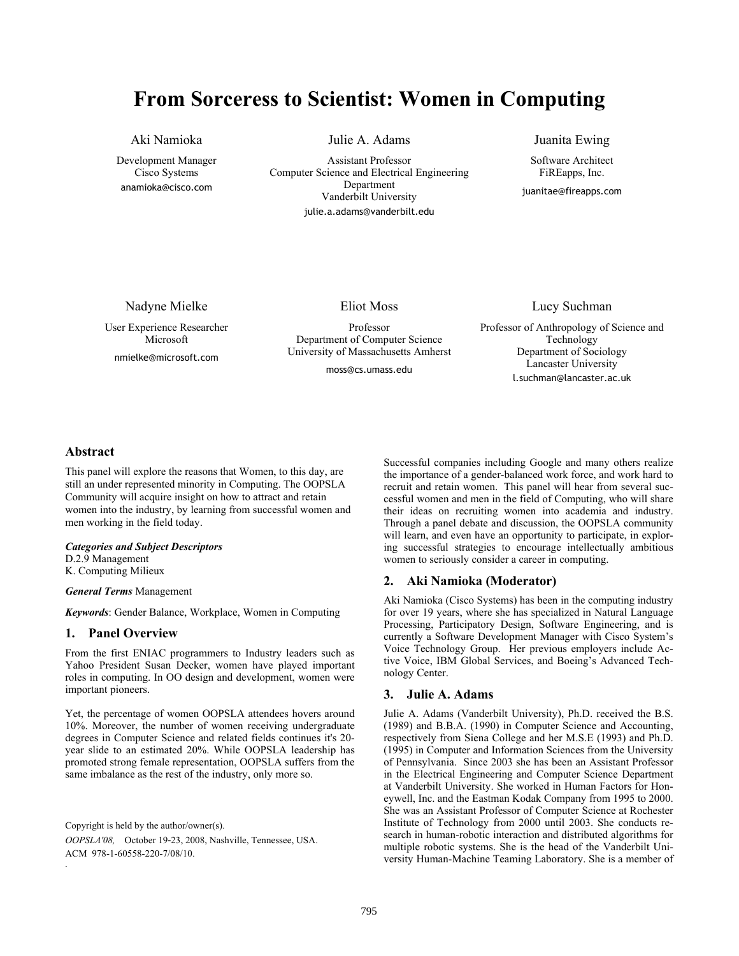# **From Sorceress to Scientist: Women in Computing**

Aki Namioka

Development Manager Cisco Systems anamioka@cisco.com

Julie A. Adams

Assistant Professor Computer Science and Electrical Engineering Department Vanderbilt University julie.a.adams@vanderbilt.edu

Juanita Ewing

Software Architect FiREapps, Inc.

juanitae@fireapps.com

Nadyne Mielke

User Experience Researcher Microsoft nmielke@microsoft.com

Eliot Moss

Professor Department of Computer Science University of Massachusetts Amherst

moss@cs.umass.edu

#### Lucy Suchman

Professor of Anthropology of Science and Technology Department of Sociology Lancaster University l.suchman@lancaster.ac.uk

## **Abstract**

This panel will explore the reasons that Women, to this day, are still an under represented minority in Computing. The OOPSLA Community will acquire insight on how to attract and retain women into the industry, by learning from successful women and men working in the field today.

#### *Categories and Subject Descriptors*

D.2.9 Management

K. Computing Milieux

#### *General Terms* Management

*Keywords*: Gender Balance, Workplace, Women in Computing

#### **1. Panel Overview**

From the first ENIAC programmers to Industry leaders such as Yahoo President Susan Decker, women have played important roles in computing. In OO design and development, women were important pioneers.

Yet, the percentage of women OOPSLA attendees hovers around 10%. Moreover, the number of women receiving undergraduate degrees in Computer Science and related fields continues it's 20 year slide to an estimated 20%. While OOPSLA leadership has promoted strong female representation, OOPSLA suffers from the same imbalance as the rest of the industry, only more so.

Copyright is held by the author/owner(s).

.

*OOPSLA'08,* October 19-23, 2008, Nashville, Tennessee, USA. ACM 978-1-60558-220-7/08/10.

Successful companies including Google and many others realize the importance of a gender-balanced work force, and work hard to recruit and retain women. This panel will hear from several successful women and men in the field of Computing, who will share their ideas on recruiting women into academia and industry. Through a panel debate and discussion, the OOPSLA community will learn, and even have an opportunity to participate, in exploring successful strategies to encourage intellectually ambitious women to seriously consider a career in computing.

### **2. Aki Namioka (Moderator)**

Aki Namioka (Cisco Systems) has been in the computing industry for over 19 years, where she has specialized in Natural Language Processing, Participatory Design, Software Engineering, and is currently a Software Development Manager with Cisco System's Voice Technology Group. Her previous employers include Active Voice, IBM Global Services, and Boeing's Advanced Technology Center.

### **3. Julie A. Adams**

Julie A. Adams (Vanderbilt University), Ph.D. received the B.S. (1989) and B.B.A. (1990) in Computer Science and Accounting, respectively from Siena College and her M.S.E (1993) and Ph.D. (1995) in Computer and Information Sciences from the University of Pennsylvania. Since 2003 she has been an Assistant Professor in the Electrical Engineering and Computer Science Department at Vanderbilt University. She worked in Human Factors for Honeywell, Inc. and the Eastman Kodak Company from 1995 to 2000. She was an Assistant Professor of Computer Science at Rochester Institute of Technology from 2000 until 2003. She conducts research in human-robotic interaction and distributed algorithms for multiple robotic systems. She is the head of the Vanderbilt University Human-Machine Teaming Laboratory. She is a member of